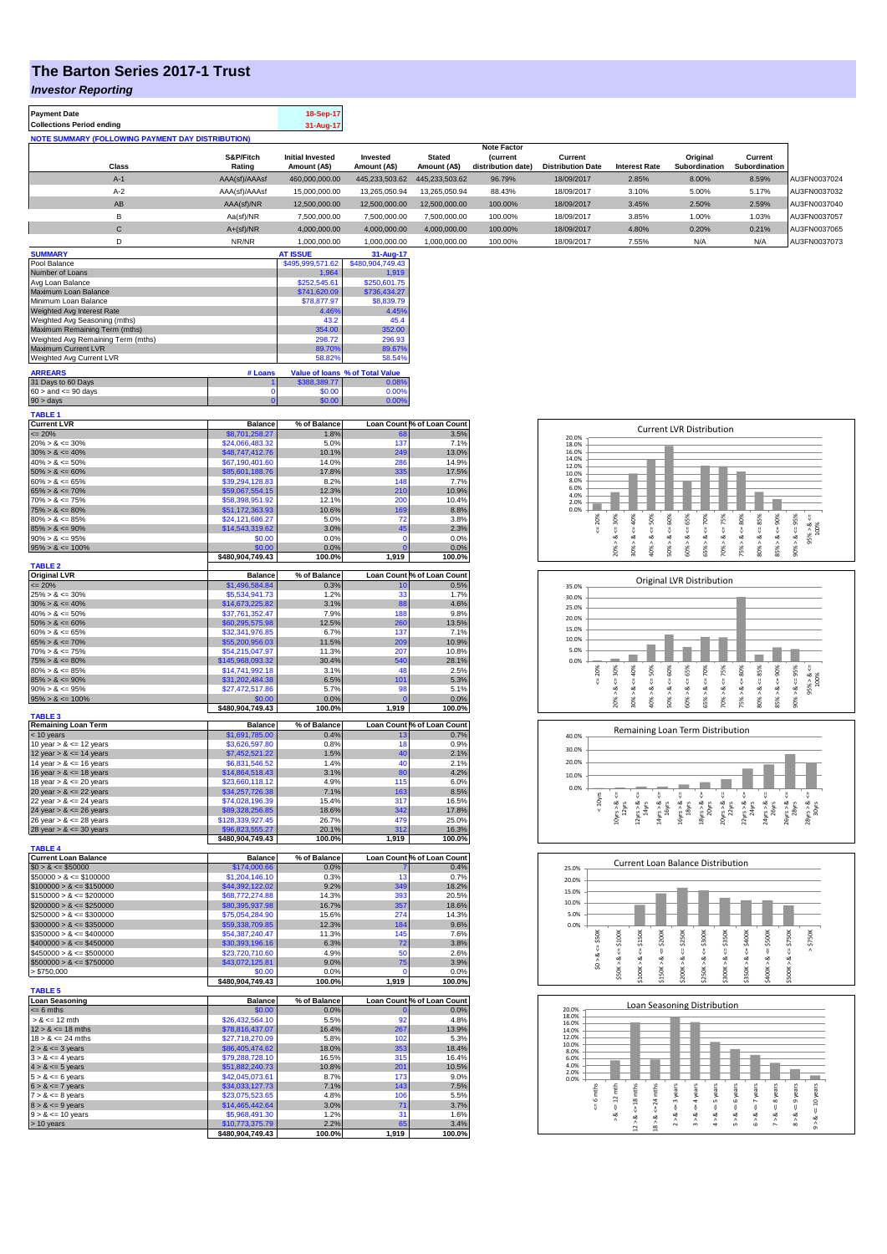## **The Barton Series 2017-1 Trust**

*Investor Reporting*

**Payment Date 18-Sep-17 Collections Period ending** 

| <b>NOTE SUMMARY (FOLLOWING PAYMENT DAY DISTRIBUTION)</b> |  |  |
|----------------------------------------------------------|--|--|

|                |               |                         |                |                | <b>Note Factor</b> |                          |                      |                      |               |              |
|----------------|---------------|-------------------------|----------------|----------------|--------------------|--------------------------|----------------------|----------------------|---------------|--------------|
|                | S&P/Fitch     | <b>Initial Invested</b> | Invested       | <b>Stated</b>  | <b>Current</b>     | Current                  |                      | Original             | Current       |              |
| Class          | Rating        | Amount (A\$)            | Amount (A\$)   | Amount (A\$)   | distribution date) | <b>Distribution Date</b> | <b>Interest Rate</b> | <b>Subordination</b> | Subordination |              |
| $A-1$          | AAA(sf)/AAAsf | 460,000,000.00          | 445,233,503.62 | 445.233.503.62 | 96.79%             | 18/09/2017               | 2.85%                | 8.00%                | 8.59%         | AU3FN0037024 |
| $A-2$          | AAA(sf)/AAAsf | 15,000,000.00           | 13,265,050.94  | 13.265.050.94  | 88.43%             | 18/09/2017               | 3.10%                | 5.00%                | 5.17%         | AU3FN0037032 |
| AB             | AAA(sf)/NR    | 12,500,000.00           | 12,500,000.00  | 12,500,000.00  | 100.00%            | 18/09/2017               | 3.45%                | 2.50%                | 2.59%         | AU3FN0037040 |
| B              | Aa(sf)/NR     | 7,500,000.00            | 7.500.000.00   | 7.500.000.00   | 100.00%            | 18/09/2017               | 3.85%                | 1.00%                | 1.03%         | AU3FN0037057 |
| $\sim$<br>U    | $A+(sf)/NR$   | 4,000,000.00            | 4,000,000.00   | 4.000.000.00   | 100.00%            | 18/09/2017               | 4.80%                | 0.20%                | 0.21%         | AU3FN0037065 |
|                | NR/NR         | 1,000,000.00            | 1,000,000.00   | 1,000,000.00   | 100.00%            | 18/09/2017               | 7.55%                | N/A                  | N/A           | AU3FN0037073 |
| <b>SUMMARY</b> |               | <b>AT ISSUE</b>         | 31-Aug-17      |                |                    |                          |                      |                      |               |              |

| Pool Balance                       |         | \$495,999,571.62 | \$480,904,749.43                |
|------------------------------------|---------|------------------|---------------------------------|
| Number of Loans                    |         | 1.964            | 1.919                           |
| Avg Loan Balance                   |         | \$252,545.61     | \$250,601.75                    |
| Maximum Loan Balance               |         | \$741,620.09     | \$736.434.27                    |
| Minimum Loan Balance               |         | \$78,877.97      | \$8,839.79                      |
| Weighted Avg Interest Rate         |         | 4.46%            | 4.45%                           |
| Weighted Avg Seasoning (mths)      |         | 43.2             | 45.4                            |
| Maximum Remaining Term (mths)      |         | 354.00           | 352.00                          |
| Weighted Avg Remaining Term (mths) |         | 298.72           | 296.93                          |
| Maximum Current LVR                |         | 89.70%           | 89.67%                          |
| Weighted Avg Current LVR           |         | 58.82%           | 58.54%                          |
| <b>ARREARS</b>                     | # Loans |                  | Value of Ioans % of Total Value |
| 31 Days to 60 Days                 |         | \$388,389.77     | 0.08%                           |
| $60 >$ and $\leq 90$ days          |         | \$0.00           | 0.00%                           |

90 > days 0 \$0.00 0.00%

| <b>TABLE 1</b>              |                                     |                |                 |                            |
|-----------------------------|-------------------------------------|----------------|-----------------|----------------------------|
| <b>Current LVR</b>          | <b>Balance</b>                      | % of Balance   |                 | Loan Count % of Loan Count |
| $= 20%$                     | \$8,701,258.27                      | 1.8%           | 68              | 3.5%                       |
| $20\% > 8 \le 30\%$         | \$24,066,483.32                     | 5.0%           | 137             | 7.1%                       |
| $30\% > 8 \le 40\%$         | \$48,747,412.76                     | 10.1%          | 249             | 13.0%                      |
| $40\% > 8 \le 50\%$         | \$67,190,401.60                     | 14.0%          | 286             | 14.9%                      |
| $50\% > 8 \le 60\%$         | \$85,601,188.76                     | 17.8%          | 335             | 17.5%                      |
| $60\% > 8 \le 65\%$         | \$39,294,128.83                     | 8.2%           | 148             | 7.7%                       |
| $65\% > 8 \le 70\%$         | \$59,067,554.15                     | 12.3%          | 210             | 10.9%                      |
| $70\% > 8 \le 75\%$         | \$58,398,951.92                     | 12.1%          | 200             | 10.4%                      |
| $75\% > 8 \le 80\%$         | \$51,172,363.93                     | 10.6%          | 169             | 8.8%                       |
| $80\% > 8 \le 85\%$         | \$24,121,686.27                     | 5.0%           | 72              | 3.8%                       |
| $85\% > 8 \le 90\%$         | \$14,543,319.62                     | 3.0%           | 45              | 2.3%                       |
| $90\% > 8 \le 95\%$         | \$0.00                              | 0.0%           | 0               | 0.0%                       |
| $95\% > 8 \le 100\%$        | \$0.00                              | 0.0%           | $\Omega$        | 0.0%                       |
|                             | \$480,904,749.43                    | 100.0%         | 1,919           | 100.0%                     |
| <b>TABLE 2</b>              |                                     |                |                 |                            |
| <b>Original LVR</b>         | <b>Balance</b>                      | % of Balance   |                 | Loan Count % of Loan Count |
| $= 20%$                     | \$1,496,584.84                      | 0.3%           | 10              | 0.5%                       |
| $25\% > 8 \le 30\%$         | \$5,534,941.73                      | 1.2%           | 33              | 1.7%                       |
| $30\% > 8 \le 40\%$         | \$14,673,225.82                     | 3.1%           | 88              | 4.6%                       |
| $40\% > 8 \le 50\%$         | \$37,761,352.47                     | 7.9%           | 188             | 9.8%                       |
| $50\% > 8 \le 60\%$         | \$60,295,575.98                     | 12.5%          | 260             | 13.5%                      |
| $60\% > 8 \le 65\%$         | \$32,341,976.85                     | 6.7%           | 137             | 7.1%                       |
| $65\% > 8 \le 70\%$         | \$55,200,956.03                     | 11.5%          | 209             | 10.9%                      |
| $70\% > 8 \le 75\%$         | \$54,215,047.97                     | 11.3%          | 207             | 10.8%                      |
| $75\% > 8 \le 80\%$         | \$145,968,093.32                    | 30.4%          | 540             | 28.1%                      |
| $80\% > 8 \le 85\%$         | \$14,741,992.18                     | 3.1%           | 48              | 2.5%                       |
| $85\% > 8 \le 90\%$         | \$31,202,484.38                     | 6.5%           | 101             | 5.3%                       |
| $90\% > 8 \le 95\%$         | \$27,472,517.86                     | 5.7%           | 98              | 5.1%                       |
| $95\% > 8 \le 100\%$        | \$0.00                              | 0.0%           |                 | 0.0%                       |
|                             | \$480,904,749.43                    | 100.0%         | 1,919           | 100.0%                     |
| <b>TABLE 3</b>              |                                     |                |                 |                            |
| <b>Remaining Loan Term</b>  | <b>Balance</b>                      | % of Balance   |                 | Loan Count % of Loan Count |
| < 10 years                  | \$1,691,785.00                      | 0.4%           | 13              | 0.7%                       |
| 10 year $> 8 \le 12$ years  | \$3,626,597.80                      | 0.8%           | 18              | 0.9%                       |
| 12 year $> 8 \le 14$ years  | \$7,452,521.22                      | 1.5%           | 40              | 2.1%                       |
| 14 year $> 8 \le 16$ years  | \$6,831,546.52                      | 1.4%           | $\overline{40}$ | 2.1%                       |
| 16 year $> 8 \le 18$ years  | \$14,864,518.43                     | 3.1%           | 80              | 4.2%                       |
| 18 year $> 8 \le 20$ years  | \$23,660,118.12                     | 4.9%           | 115             | 6.0%                       |
| 20 year $> 8 \le 22$ years  | \$34,257,726.38                     | 7.1%           | 163             | 8.5%                       |
| 22 year $> 8 \le 24$ years  | \$74,028,196.39                     | 15.4%          | 317             | 16.5%                      |
| 24 year $> 8 \le 26$ years  | \$89,328,256.85                     | 18.6%          | 342             | 17.8%                      |
| 26 year $> 8 \le 28$ years  | \$128,339,927.45                    | 26.7%          | 479             | 25.0%                      |
| 28 year $> 8 \le 30$ years  | \$96,823,555.27                     | 20.1%          | 312             | 16.3%                      |
|                             | \$480,904,749.43                    | 100.0%         | 1,919           | 100.0%                     |
| <b>TABLE 4</b>              |                                     |                |                 |                            |
| <b>Current Loan Balance</b> | <b>Balance</b>                      | % of Balance   |                 | Loan Count % of Loan Count |
| $$0 > 8 \leq $50000$        | \$174,000.66                        | 0.0%           |                 | 0.4%                       |
| $$50000 > 8 \le $100000$    | \$1,204,146.10                      | 0.3%           | 13              | 0.7%                       |
| $$100000 > 8 \le $150000$   | \$44,392,122.02                     | 9.2%           | 349             | 18.2%                      |
| $$150000 > 8 \le $200000$   | \$68,772,274.88                     | 14.3%          | 393             | 20.5%                      |
| $$200000 > 8 \leq $250000$  | \$80,395,937.98                     | 16.7%          | 357             | 18.6%                      |
| $$250000 > 8 \le $300000$   | \$75,054,284.90                     | 15.6%          | 274             | 14.3%                      |
| $$300000 > 8 \leq $350000$  | \$59,338,709.85                     | 12.3%          | 184             | 9.6%                       |
| $$350000 > 8 \leq $400000$  | \$54,387,240.47                     | 11.3%          | 145             | 7.6%                       |
| $$400000 > 8 \leq $450000$  | \$30,393,196.16                     | 6.3%           | 72              | 3.8%                       |
| $$450000 > 8 \le $500000$   | \$23,720,710.60                     | 4.9%           | 50              | 2.6%                       |
| $$500000 > 8 \le $750000$   | \$43,072,125.81                     | 9.0%           | 75              | 3.9%                       |
| > \$750,000                 | \$0.00                              | 0.0%           | C               | 0.0%                       |
|                             | \$480,904,749.43                    | 100.0%         | 1,919           | 100.0%                     |
| <b>TABLE 5</b>              |                                     |                |                 |                            |
| <b>Loan Seasoning</b>       | <b>Balance</b>                      | % of Balance   |                 | Loan Count % of Loan Count |
| $= 6$ mths                  | \$0.00                              | 0.0%           | n               | 0.0%                       |
| $> 8 \le 12$ mth            | \$26,432,564.10                     | 5.5%           | 92              | 4.8%                       |
| $12 > 8 \le 18$ mths        | \$78,816,437.07                     | 16.4%          | 267             | 13.9%                      |
| $18 > 8 \le 24$ mths        | \$27,718,270.09                     | 5.8%           | 102             | 5.3%                       |
| $2 > 8 \le 3$ years         | \$86,405,474.62                     | 18.0%          | 353             | 18.4%                      |
| $3 > 8 \le 4$ years         | \$79,288,728.10                     | 16.5%          | 315             | 16.4%                      |
|                             |                                     |                |                 |                            |
| $4 > 8 \le 5$ years         | \$51,882,240.73                     | 10.8%          | 201<br>173      | 10.5%                      |
| $5 > 8 \le 6$ years         | \$42,045,073.61                     | 8.7%           |                 | 9.0%                       |
| $6 > 8 \le 7$ years         | \$34,033,127.73<br>\$23.075.523.65  | 7.1%<br>4.8%   | 143<br>106      | 7.5%<br>5.5%               |
| $7 > 8 \le 8$ years         |                                     | 3.0%           | 71              | 3.7%                       |
| $8 > 8 \le 9$ years         | \$14,465,442.64                     |                | $\overline{31}$ | 1.6%                       |
| $9 > 8 \le 10$ years        | \$5,968,491.30                      | 1.2%           | 65              |                            |
| > 10 years                  | \$10,773,375.79<br>\$480,904,749.43 | 2.2%<br>100.0% | 1,919           | 3.4%<br>100.0%             |
|                             |                                     |                |                 |                            |









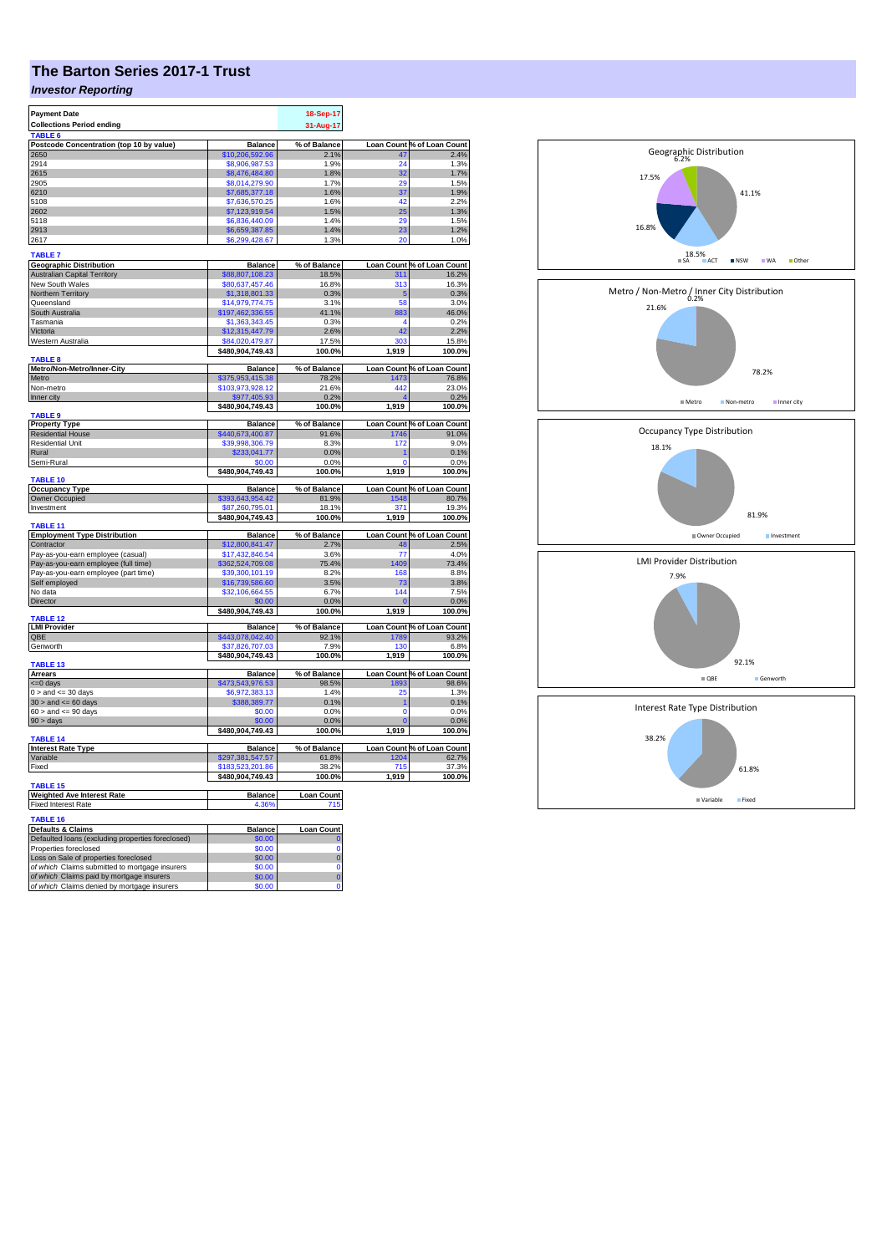## **The Barton Series 2017-1 Trust**

## *Investor Reporting*

| <b>Payment Date</b>                                                        |                                     | 18-Sep-17           |                  |                            |
|----------------------------------------------------------------------------|-------------------------------------|---------------------|------------------|----------------------------|
| <b>Collections Period ending</b>                                           |                                     | 31-Aug-17           |                  |                            |
| TABLE 6                                                                    |                                     |                     |                  |                            |
| Postcode Concentration (top 10 by value)                                   | <b>Balance</b>                      | % of Balance        |                  | Loan Count % of Loan Count |
| 2650                                                                       | \$10,206,592.96                     | 2.1%                | 47               | 2.4%                       |
| 2914                                                                       | \$8,906,987.53                      | 1.9%                | 24               | 1.3%                       |
| 2615                                                                       | \$8,476,484.80                      | 1.8%                | 32               | 1.7%                       |
| 2905                                                                       | \$8.014.279.90                      | 1.7%                | 29               | 1.5%                       |
| 6210                                                                       | \$7,685,377.18                      | 1.6%                | 37               | 1.9%                       |
| 5108                                                                       | \$7,636,570.25                      | 1.6%                | 42               | 2.2%                       |
| 2602                                                                       | \$7,123,919.54                      | 1.5%                | 25               | 1.3%                       |
| 5118                                                                       | \$6,836,440.09                      | 1.4%                | 29               | 1.5%                       |
| 2913<br>2617                                                               | \$6,659,387.85<br>\$6,299,428.67    | 1.4%<br>1.3%        | 23<br>20         | 1.2%<br>1.0%               |
|                                                                            |                                     |                     |                  |                            |
| <b>TABLE 7</b>                                                             |                                     |                     |                  |                            |
| <b>Geographic Distribution</b>                                             | <b>Balance</b>                      | % of Balance        |                  | Loan Count % of Loan Count |
| <b>Australian Capital Territory</b>                                        | \$88,807,108.23                     | 18.5%               | 311              | 16.2%                      |
| New South Wales                                                            | \$80,637,457.46                     | 16.8%               | $31\overline{3}$ | 16.3%                      |
| Northern Territory                                                         | \$1,318,801.33                      | 0.3%                | 5                | 0.3%                       |
| Queensland                                                                 | \$14,979,774.75                     | 3.1%                | 58               | 3.0%                       |
| South Australia                                                            | \$197,462,336.55                    | 41.1%               | 883              | 46.0%                      |
| Tasmania                                                                   | \$1,363,343.45                      | 0.3%                | 4                | 0.2%                       |
| Victoria                                                                   | \$12,315,447.79                     | 2.6%                | 42               | 2.2%                       |
| Western Australia                                                          | \$84,020,479.87                     | 17.5%               | 303              | 15.8%                      |
| <b>TABLE 8</b>                                                             | \$480,904,749.43                    | 100.0%              | 1,919            | 100.0%                     |
| Metro/Non-Metro/Inner-City                                                 | <b>Balance</b>                      | % of Balance        |                  | Loan Count % of Loan Count |
| Metro                                                                      | \$375,953,415.38                    | 78.2%               | 1473             | 76.8%                      |
| Non-metro                                                                  | \$103,973,928.12                    | 21.6%               | 442              | 23.0%                      |
| Inner city                                                                 | \$977,405.93                        | 0.2%                |                  | 0.2%                       |
|                                                                            | \$480,904,749.43                    | 100.0%              | 1,919            | 100.0%                     |
| <b>TABLE 9</b>                                                             |                                     |                     |                  |                            |
| <b>Property Type</b>                                                       | <b>Balance</b>                      | % of Balance        |                  | Loan Count % of Loan Count |
| <b>Residential House</b>                                                   | \$440,673,400.87                    | 91.6%               | 1746             | 91.0%                      |
| Residential Unit                                                           | \$39,998,306.79                     | 8.3%                | 172              | 9.0%                       |
| Rural                                                                      | \$233,041.77                        | 0.0%                |                  | 0.1%                       |
| Semi-Rural                                                                 | \$0.00                              | 0.0%                | $\Omega$         | 0.0%                       |
|                                                                            | \$480,904,749.43                    | 100.0%              | 1,919            | 100.0%                     |
| TABLE 10                                                                   | <b>Balance</b>                      | % of Balance        |                  | Loan Count % of Loan Count |
| <b>Occupancy Type</b><br><b>Owner Occupied</b>                             | \$393,643,954.42                    | 81.9%               | 1548             | 80.7%                      |
| Investment                                                                 |                                     |                     |                  |                            |
|                                                                            | \$87,260,795.01<br>\$480,904,749.43 | 18.1%<br>100.0%     | 371<br>1,919     | 19.3%<br>100.0%            |
| <b>TABLE 11</b>                                                            |                                     |                     |                  |                            |
| <b>Employment Type Distribution</b>                                        | <b>Balance</b>                      | % of Balance        |                  | Loan Count % of Loan Count |
| Contractor                                                                 | \$12,800,841.47                     | 2.7%                | 48               | 2.5%                       |
| Pay-as-you-earn employee (casual)                                          | \$17,432,846.54                     | 3.6%                | 77               | 4.0%                       |
| Pay-as-you-earn employee (full time)                                       | \$362,524,709.08                    | 75.4%               | 1409             | 73.4%                      |
| Pay-as-you-earn employee (part time)                                       | \$39,300,101.19                     | 8.2%                | 168              | 8.8%                       |
| Self employed                                                              | \$16,739,586.60                     | 3.5%                | 73               | 3.8%                       |
| No data                                                                    | \$32,106,664.55                     | 6.7%                | 144              | 7.5%                       |
| <b>Director</b>                                                            | \$0.00                              | 0.0%                | $\Omega$         | 0.0%                       |
|                                                                            | \$480,904,749.43                    | 100.0%              | 1,919            | 100.0%                     |
| TABLE <sub>12</sub><br><b>LMI Provider</b>                                 | <b>Balance</b>                      | % of Balance        |                  | Loan Count % of Loan Count |
| QBE                                                                        | \$443,078,042.40                    | 92.1%               | 1789             | 93.2%                      |
| Genworth                                                                   | \$37,826,707.03                     | 7.9%                | 130              | 6.8%                       |
|                                                                            | \$480,904,749.43                    | 100.0%              | 1,919            | 100.0%                     |
| <b>TABLE 13</b>                                                            |                                     |                     |                  |                            |
| <b>Arrears</b>                                                             | <b>Balance</b>                      | % of Balance        |                  | Loan Count % of Loan Count |
| <= 0 days                                                                  | \$473,543,976.53                    | 98.5%               | 1893             | 98.6%                      |
| $0 >$ and $\lt = 30$ days                                                  | \$6,972,383.13                      | 1.4%                | 25               | 1.3%                       |
| $30 >$ and $\leq 60$ days                                                  | \$388,389.77                        | 0.1%                | 1                | 0.1%                       |
| $60 >$ and $\leq 90$ days                                                  | \$0.00                              | 0.0%                | 0                | 0.0%                       |
| $90 > \text{days}$                                                         | \$0.00                              | 0.0%                |                  | 0.0%                       |
|                                                                            | \$480,904,749.43                    | 100.0%              | 1,919            | 100.0%                     |
| <b>TABLE 14</b><br><b>Interest Rate Type</b>                               | <b>Balance</b>                      | % of Balance        |                  | Loan Count % of Loan Count |
| Variable                                                                   | \$297,381,547.57                    | 61.8%               | 1204             | 62.7%                      |
| Fixed                                                                      | \$183,523,201.86                    | 38.2%               | 715              | 37.3%                      |
|                                                                            | \$480,904,749.43                    | 100.0%              | 1,919            | 100.0%                     |
| <b>TABLE 15</b>                                                            |                                     |                     |                  |                            |
| <b>Weighted Ave Interest Rate</b>                                          | <b>Balance</b>                      | <b>Loan Count</b>   |                  |                            |
| <b>Fixed Interest Rate</b>                                                 | 4.36%                               | 715                 |                  |                            |
|                                                                            |                                     |                     |                  |                            |
| <b>TABLE 16</b>                                                            |                                     |                     |                  |                            |
| <b>Defaults &amp; Claims</b>                                               | <b>Balance</b>                      | <b>Loan Count</b>   |                  |                            |
| Defaulted loans (excluding properties foreclosed)<br>Properties foreclosed | \$0.00                              | $\bf{0}$            |                  |                            |
| Loss on Sale of properties foreclosed                                      | \$0.00<br>\$0.00                    | 0<br>$\overline{0}$ |                  |                            |
| of which Claims submitted to mortgage insurers                             | \$0.00                              | 0                   |                  |                            |
| of which Claims paid by mortgage insurers                                  | \$0.00                              | $\overline{0}$      |                  |                            |
| of which Claims denied by mortgage insurers                                | \$0.00                              | O                   |                  |                            |